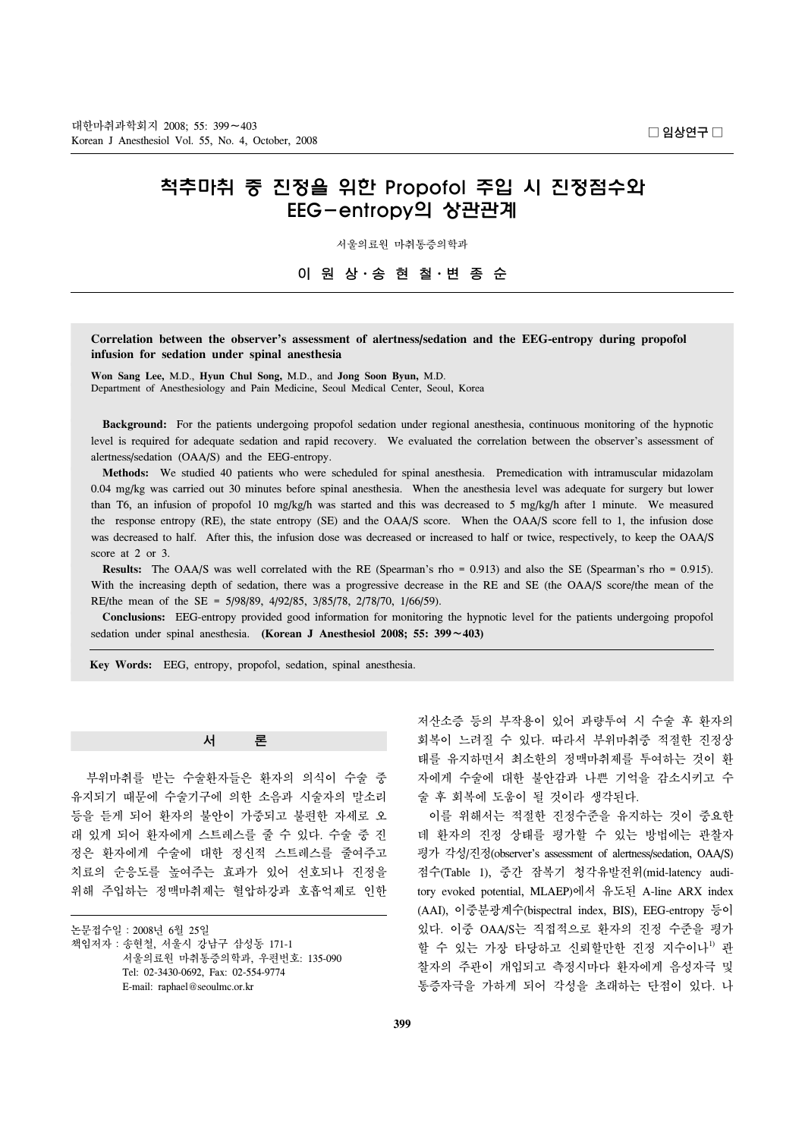# 척추마취 중 진정을 위한 Propofol 주입 시 진정점수와 EEG-entropy의 상관관계

서울의료원 마취통증의학과

이 원 상ㆍ송 현 철ㆍ변 종 순

## **Correlation between the observer's assessment of alertness/sedation and the EEG-entropy during propofol infusion for sedation under spinal anesthesia**

**Won Sang Lee,** M.D., **Hyun Chul Song,** M.D., and **Jong Soon Byun,** M.D. Department of Anesthesiology and Pain Medicine, Seoul Medical Center, Seoul, Korea

 **Background:** For the patients undergoing propofol sedation under regional anesthesia, continuous monitoring of the hypnotic level is required for adequate sedation and rapid recovery. We evaluated the correlation between the observer's assessment of alertness/sedation (OAA/S) and the EEG-entropy.

 **Methods:** We studied 40 patients who were scheduled for spinal anesthesia. Premedication with intramuscular midazolam 0.04 mg/kg was carried out 30 minutes before spinal anesthesia. When the anesthesia level was adequate for surgery but lower than T6, an infusion of propofol 10 mg/kg/h was started and this was decreased to 5 mg/kg/h after 1 minute. We measured the response entropy (RE), the state entropy (SE) and the OAA/S score. When the OAA/S score fell to 1, the infusion dose was decreased to half. After this, the infusion dose was decreased or increased to half or twice, respectively, to keep the OAA/S score at 2 or 3.

 **Results:** The OAA/S was well correlated with the RE (Spearman's rho = 0.913) and also the SE (Spearman's rho = 0.915). With the increasing depth of sedation, there was a progressive decrease in the RE and SE (the OAA/S score/the mean of the RE/the mean of the SE = 5/98/89, 4/92/85, 3/85/78, 2/78/70, 1/66/59).

 **Conclusions:** EEG-entropy provided good information for monitoring the hypnotic level for the patients undergoing propofol sedation under spinal anesthesia. **(Korean J Anesthesiol 2008; 55: 399**∼**403)**

**Key Words:** EEG, entropy, propofol, sedation, spinal anesthesia.

### 서 론

 부위마취를 받는 수술환자들은 환자의 의식이 수술 중 유지되기 때문에 수술기구에 의한 소음과 시술자의 말소리 등을 듣게 되어 환자의 불안이 가중되고 불편한 자세로 오 래 있게 되어 환자에게 스트레스를 줄 수 있다. 수술 중 진 정은 환자에게 수술에 대한 정신적 스트레스를 줄여주고 치료의 순응도를 높여주는 효과가 있어 선호되나 진정을 위해 주입하는 정맥마취제는 혈압하강과 호흡억제로 인한

논문접수일:2008년 6월 25일 책임저자:송현철, 서울시 강남구 삼성동 171-1 서울의료원 마취통증의학과, 우편번호: 135-090 Tel: 02-3430-0692, Fax: 02-554-9774 E-mail: raphael@seoulmc.or.kr

저산소증 등의 부작용이 있어 과량투여 시 수술 후 환자의 회복이 느려질 수 있다. 따라서 부위마취중 적절한 진정상 태를 유지하면서 최소한의 정맥마취제를 투여하는 것이 환 자에게 수술에 대한 불안감과 나쁜 기억을 감소시키고 수 술 후 회복에 도움이 될 것이라 생각된다.

 이를 위해서는 적절한 진정수준을 유지하는 것이 중요한 데 환자의 진정 상태를 평가할 수 있는 방법에는 관찰자 평가 각성/진정(observer's assessment of alertness/sedation, OAA/S) 점수(Table 1), 중간 잠복기 청각유발전위(mid-latency auditory evoked potential, MLAEP)에서 유도된 A-line ARX index (AAI), 이중분광계수(bispectral index, BIS), EEG-entropy 등이 있다. 이중 OAA/S는 직접적으로 환자의 진정 수준을 평가 할 수 있는 가장 타당하고 신뢰할만한 진정 지수이나<sup>!)</sup> 관 찰자의 주관이 개입되고 측정시마다 환자에게 음성자극 및 통증자극을 가하게 되어 각성을 초래하는 단점이 있다. 나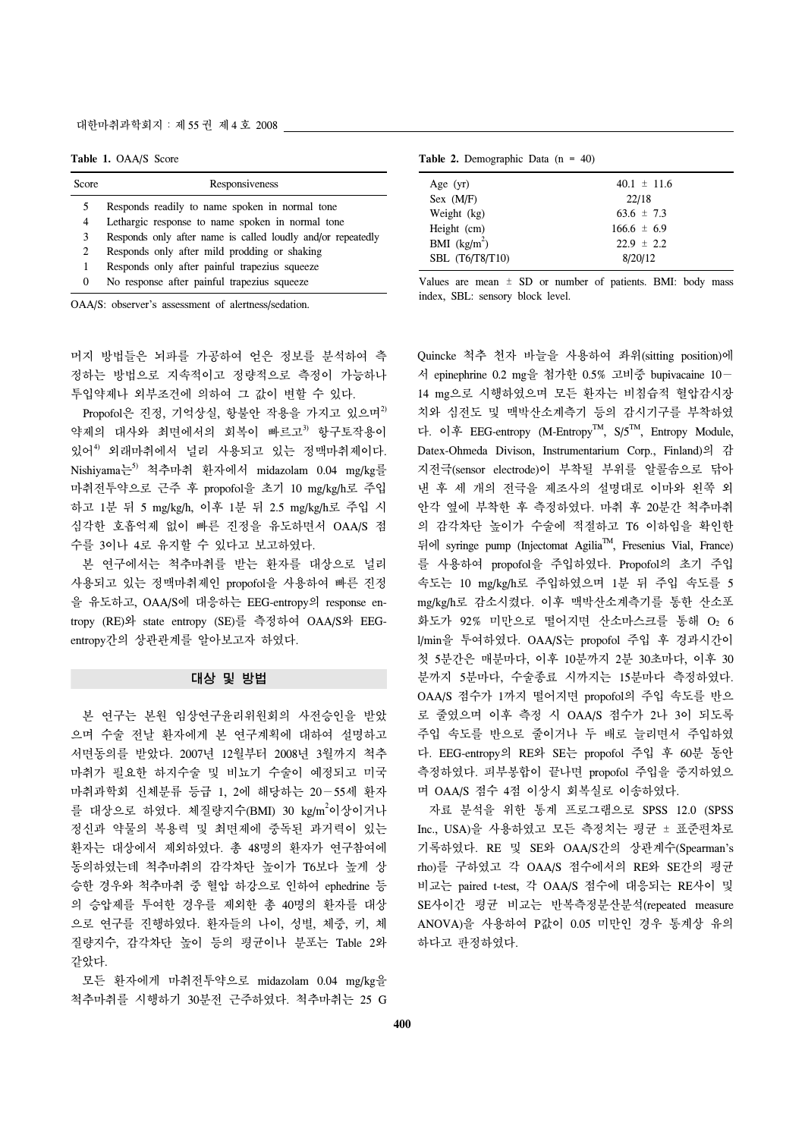#### 대한마취과학회지:제 55 권 제 4 호 2008

**Table 1.** OAA/S Score

| Score          | Responsiveness                                              |
|----------------|-------------------------------------------------------------|
| 5.             | Responds readily to name spoken in normal tone              |
| 4              | Lethargic response to name spoken in normal tone            |
| 3.             | Responds only after name is called loudly and/or repeatedly |
| $\overline{2}$ | Responds only after mild prodding or shaking                |
|                | Responds only after painful trapezius squeeze               |
| $\theta$       | No response after painful trapezius squeeze                 |

OAA/S: observer's assessment of alertness/sedation.

머지 방법들은 뇌파를 가공하여 얻은 정보를 분석하여 측 정하는 방법으로 지속적이고 정량적으로 측정이 가능하나 투입약제나 외부조건에 의하여 그 값이 변할 수 있다.

Propofol은 진정, 기억상실, 항불안 작용을 가지고 있으며 $^{2}$ 약제의 대사와 최면에서의 회복이 빠르고3) 항구토작용이 있어<sup>4)</sup> 외래마취에서 널리 사용되고 있는 정맥마취제이다. Nishiyama는5) 척추마취 환자에서 midazolam 0.04 mg/kg를 마취전투약으로 근주 후 propofol을 초기 10 mg/kg/h로 주입 하고 1분 뒤 5 mg/kg/h, 이후 1분 뒤 2.5 mg/kg/h로 주입 시 심각한 호흡억제 없이 빠른 진정을 유도하면서 OAA/S 점 수를 3이나 4로 유지할 수 있다고 보고하였다.

 본 연구에서는 척추마취를 받는 환자를 대상으로 널리 사용되고 있는 정맥마취제인 propofol을 사용하여 빠른 진정 을 유도하고, OAA/S에 대응하는 EEG-entropy의 response entropy (RE)와 state entropy (SE)를 측정하여 OAA/S와 EEGentropy간의 상관관계를 알아보고자 하였다.

#### 대상 및 방법

 본 연구는 본원 임상연구윤리위원회의 사전승인을 받았 으며 수술 전날 환자에게 본 연구계획에 대하여 설명하고 서면동의를 받았다. 2007년 12월부터 2008년 3월까지 척추 마취가 필요한 하지수술 및 비뇨기 수술이 예정되고 미국 마취과학회 신체분류 등급 1, 2에 해당하는 20−55세 환자 를 대상으로 하였다. 체질량지수(BMI) 30 kg/m<sup>2</sup>이상이거나 정신과 약물의 복용력 및 최면제에 중독된 과거력이 있는 환자는 대상에서 제외하였다. 총 48명의 환자가 연구참여에 동의하였는데 척추마취의 감각차단 높이가 T6보다 높게 상 승한 경우와 척추마취 중 혈압 하강으로 인하여 ephedrine 등 의 승압제를 투여한 경우를 제외한 총 40명의 환자를 대상 으로 연구를 진행하였다. 환자들의 나이, 성별, 체중, 키, 체 질량지수, 감각차단 높이 등의 평균이나 분포는 Table 2와 같았다.

 모든 환자에게 마취전투약으로 midazolam 0.04 mg/kg을 척추마취를 시행하기 30분전 근주하였다. 척추마취는 25 G

|  |  | Table 2. Demographic Data $(n = 40)$ |  |  |  |  |
|--|--|--------------------------------------|--|--|--|--|
|--|--|--------------------------------------|--|--|--|--|

| Age $(yr)$      | $40.1 \pm 11.6$ |
|-----------------|-----------------|
| Sex (M/F)       | 22/18           |
| Weight (kg)     | $63.6 \pm 7.3$  |
| Height (cm)     | $166.6 \pm 6.9$ |
| BMI $(kg/m2)$   | $22.9 \pm 2.2$  |
| SBL (T6/T8/T10) | 8/20/12         |

Values are mean  $\pm$  SD or number of patients. BMI: body mass index, SBL: sensory block level.

Quincke 척추 천자 바늘을 사용하여 좌위(sitting position)에 서 epinephrine 0.2 mg을 첨가한 0.5% 고비중 bupivacaine 10− 14 mg으로 시행하였으며 모든 환자는 비침습적 혈압감시장 치와 심전도 및 맥박산소계측기 등의 감시기구를 부착하였 다. 이후 EEG-entropy (M-EntropyTM, S/5TM, Entropy Module, Datex-Ohmeda Divison, Instrumentarium Corp., Finland)의 감 지전극(sensor electrode)이 부착될 부위를 알콜솜으로 닦아 낸 후 세 개의 전극을 제조사의 설명대로 이마와 왼쪽 외 안각 옆에 부착한 후 측정하였다. 마취 후 20분간 척추마취 의 감각차단 높이가 수술에 적절하고 T6 이하임을 확인한 뒤에 syringe pump (Injectomat AgiliaTM, Fresenius Vial, France) 를 사용하여 propofol을 주입하였다. Propofol의 초기 주입 속도는 10 mg/kg/h로 주입하였으며 1분 뒤 주입 속도를 5 mg/kg/h로 감소시켰다. 이후 맥박산소계측기를 통한 산소포 화도가 92% 미만으로 떨어지면 산소마스크를 통해 O2 6 l/min을 투여하였다. OAA/S는 propofol 주입 후 경과시간이 첫 5분간은 매분마다, 이후 10분까지 2분 30초마다, 이후 30 분까지 5분마다, 수술종료 시까지는 15분마다 측정하였다. OAA/S 점수가 1까지 떨어지면 propofol의 주입 속도를 반으 로 줄였으며 이후 측정 시 OAA/S 점수가 2나 3이 되도록 주입 속도를 반으로 줄이거나 두 배로 늘리면서 주입하였 다. EEG-entropy의 RE와 SE는 propofol 주입 후 60분 동안 측정하였다. 피부봉합이 끝나면 propofol 주입을 중지하였으 며 OAA/S 점수 4점 이상시 회복실로 이송하였다.

 자료 분석을 위한 통계 프로그램으로 SPSS 12.0 (SPSS Inc., USA)을 사용하였고 모든 측정치는 평균 ± 표준편차로 기록하였다. RE 및 SE와 OAA/S간의 상관계수(Spearman's rho)를 구하였고 각 OAA/S 점수에서의 RE와 SE간의 평균 비교는 paired t-test, 각 OAA/S 점수에 대응되는 RE사이 및 SE사이간 평균 비교는 반복측정분산분석(repeated measure ANOVA)을 사용하여 P값이 0.05 미만인 경우 통계상 유의 하다고 판정하였다.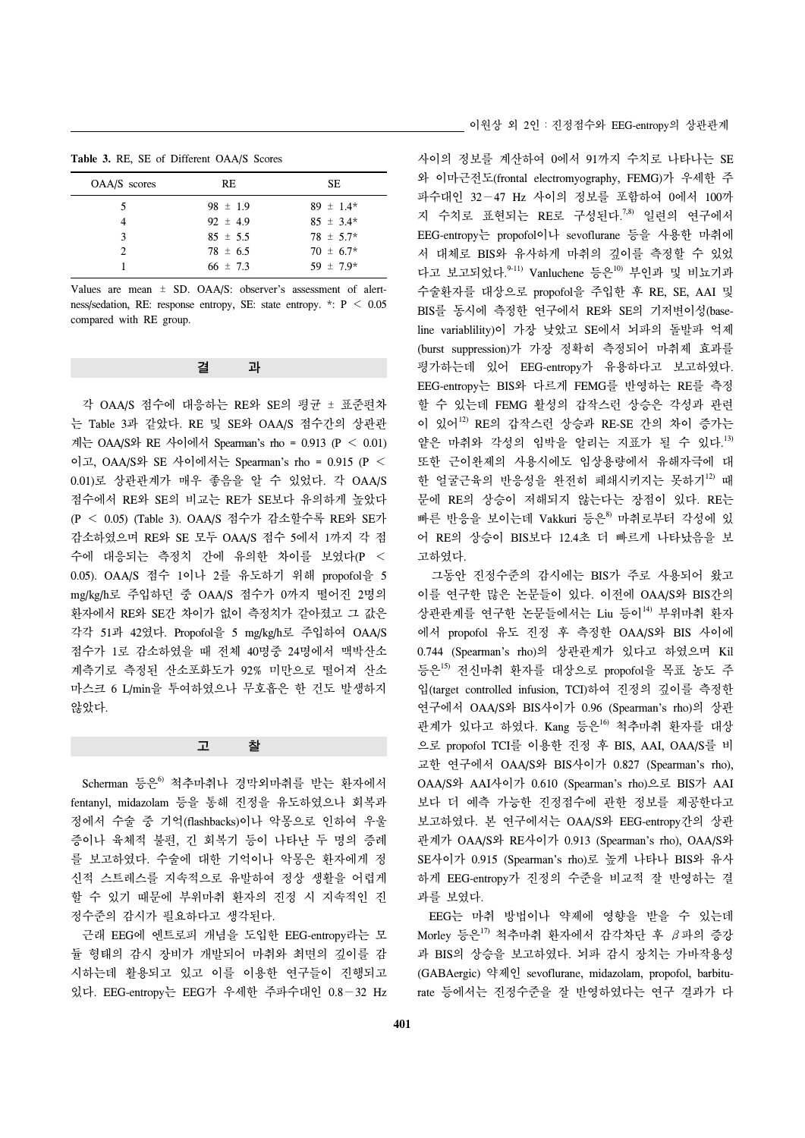**Table 3.** RE, SE of Different OAA/S Scores

| <b>OAA/S</b> scores | RE.          | SЕ            |
|---------------------|--------------|---------------|
| 5                   | $98 \pm 1.9$ | $89 \pm 1.4*$ |
|                     | 92 $\pm$ 4.9 | $85 \pm 3.4*$ |
| 3                   | $85 \pm 5.5$ | $78 \pm 5.7*$ |
| $\mathcal{L}$       | $78 \pm 6.5$ | $70 \pm 6.7*$ |
|                     | 66 $\pm$ 7.3 | 59 $\pm$ 7.9* |
|                     |              |               |

Values are mean ± SD. OAA/S: observer's assessment of alertness/sedation, RE: response entropy, SE: state entropy. \*: P < 0.05 compared with RE group.

| 기 | 과 |
|---|---|
|   |   |

 각 OAA/S 점수에 대응하는 RE와 SE의 평균 ± 표준편차 는 Table 3과 같았다. RE 및 SE와 OAA/S 점수간의 상관관 계는 OAA/S와 RE 사이에서 Spearman's rho = 0.913 ( $P < 0.01$ ) 이고, OAA/S와 SE 사이에서는 Spearman's rho = 0.915 (P < 0.01)로 상관관계가 매우 좋음을 알 수 있었다. 각 OAA/S 점수에서 RE와 SE의 비교는 RE가 SE보다 유의하게 높았다 (P < 0.05) (Table 3). OAA/S 점수가 감소할수록 RE와 SE가 감소하였으며 RE와 SE 모두 OAA/S 점수 5에서 1까지 각 점 수에 대응되는 측정치 간에 유의한 차이를 보였다(P < 0.05). OAA/S 점수 1이나 2를 유도하기 위해 propofol을 5 mg/kg/h로 주입하던 중 OAA/S 점수가 0까지 떨어진 2명의 환자에서 RE와 SE간 차이가 없이 측정치가 같아졌고 그 값은 각각 51과 42였다. Propofol을 5 mg/kg/h로 주입하여 OAA/S 점수가 1로 감소하였을 때 전체 40명중 24명에서 맥박산소 계측기로 측정된 산소포화도가 92% 미만으로 떨어져 산소 마스크 6 L/min을 투여하였으나 무호흡은 한 건도 발생하지 않았다.

#### 고 찰

Scherman 등은<sup>6</sup> 척추마취나 경막외마취를 받는 환자에서 fentanyl, midazolam 등을 통해 진정을 유도하였으나 회복과 정에서 수술 중 기억(flashbacks)이나 악몽으로 인하여 우울 증이나 육체적 불편, 긴 회복기 등이 나타난 두 명의 증례 를 보고하였다. 수술에 대한 기억이나 악몽은 환자에게 정 신적 스트레스를 지속적으로 유발하여 정상 생활을 어렵게 할 수 있기 때문에 부위마취 환자의 진정 시 지속적인 진 정수준의 감시가 필요하다고 생각된다.

 근래 EEG에 엔트로피 개념을 도입한 EEG-entropy라는 모 듈 형태의 감시 장비가 개발되어 마취와 최면의 깊이를 감 시하는데 활용되고 있고 이를 이용한 연구들이 진행되고 있다. EEG-entropy는 EEG가 우세한 주파수대인 0.8−32 Hz 사이의 정보를 계산하여 0에서 91까지 수치로 나타나는 SE 와 이마근전도(frontal electromyography, FEMG)가 우세한 주 파수대인 32−47 Hz 사이의 정보를 포함하여 0에서 100까 지 수치로 표현되는 RE로 구성된다.<sup>7,8)</sup> 일련의 연구에서 EEG-entropy는 propofol이나 sevoflurane 등을 사용한 마취에 서 대체로 BIS와 유사하게 마취의 깊이를 측정할 수 있었 다고 보고되었다.<sup>9-11)</sup> Vanluchene 등은<sup>10)</sup> 부인과 및 비뇨기과 수술환자를 대상으로 propofol을 주입한 후 RE, SE, AAI 및 BIS를 동시에 측정한 연구에서 RE와 SE의 기저변이성(baseline variablility)이 가장 낮았고 SE에서 뇌파의 돌발파 억제 (burst suppression)가 가장 정확히 측정되어 마취제 효과를 평가하는데 있어 EEG-entropy가 유용하다고 보고하였다. EEG-entropy는 BIS와 다르게 FEMG를 반영하는 RE를 측정 할 수 있는데 FEMG 활성의 갑작스런 상승은 각성과 관련 이 있어12) RE의 갑작스런 상승과 RE-SE 간의 차이 증가는 얕은 마취와 각성의 임박을 알리는 지표가 될 수 있다. 13) 또한 근이완제의 사용시에도 임상용량에서 유해자극에 대 한 얼굴근육의 반응성을 완전히 폐쇄시키지는 못하기<sup>12)</sup> 때 문에 RE의 상승이 저해되지 않는다는 장점이 있다. RE는 빠른 반응을 보이는데 Vakkuri 등은8) 마취로부터 각성에 있 어 RE의 상승이 BIS보다 12.4초 더 빠르게 나타났음을 보 고하였다.

 그동안 진정수준의 감시에는 BIS가 주로 사용되어 왔고 이를 연구한 많은 논문들이 있다. 이전에 OAA/S와 BIS간의 상관관계를 연구한 논문들에서는 Liu 등이<sup>14)</sup> 부위마취 환자 에서 propofol 유도 진정 후 측정한 OAA/S와 BIS 사이에 0.744 (Spearman's rho)의 상관관계가 있다고 하였으며 Kil 등은<sup>15)</sup> 전신마취 환자를 대상으로 propofol을 목표 농도 주 입(target controlled infusion, TCI)하여 진정의 깊이를 측정한 연구에서 OAA/S와 BIS사이가 0.96 (Spearman's rho)의 상관 관계가 있다고 하였다. Kang 등은<sup>16)</sup> 척추마취 환자를 대상 으로 propofol TCI를 이용한 진정 후 BIS, AAI, OAA/S를 비 교한 연구에서 OAA/S와 BIS사이가 0.827 (Spearman's rho), OAA/S와 AAI사이가 0.610 (Spearman's rho)으로 BIS가 AAI 보다 더 예측 가능한 진정점수에 관한 정보를 제공한다고 보고하였다. 본 연구에서는 OAA/S와 EEG-entropy간의 상관 관계가 OAA/S와 RE사이가 0.913 (Spearman's rho), OAA/S와 SE사이가 0.915 (Spearman's rho)로 높게 나타나 BIS와 유사 하게 EEG-entropy가 진정의 수준을 비교적 잘 반영하는 결 과를 보였다.

 EEG는 마취 방법이나 약제에 영향을 받을 수 있는데 Morley 등은<sup>17)</sup> 척추마취 환자에서 감각차단 후 β파의 증강 과 BIS의 상승을 보고하였다. 뇌파 감시 장치는 가바작용성 (GABAergic) 약제인 sevoflurane, midazolam, propofol, barbiturate 등에서는 진정수준을 잘 반영하였다는 연구 결과가 다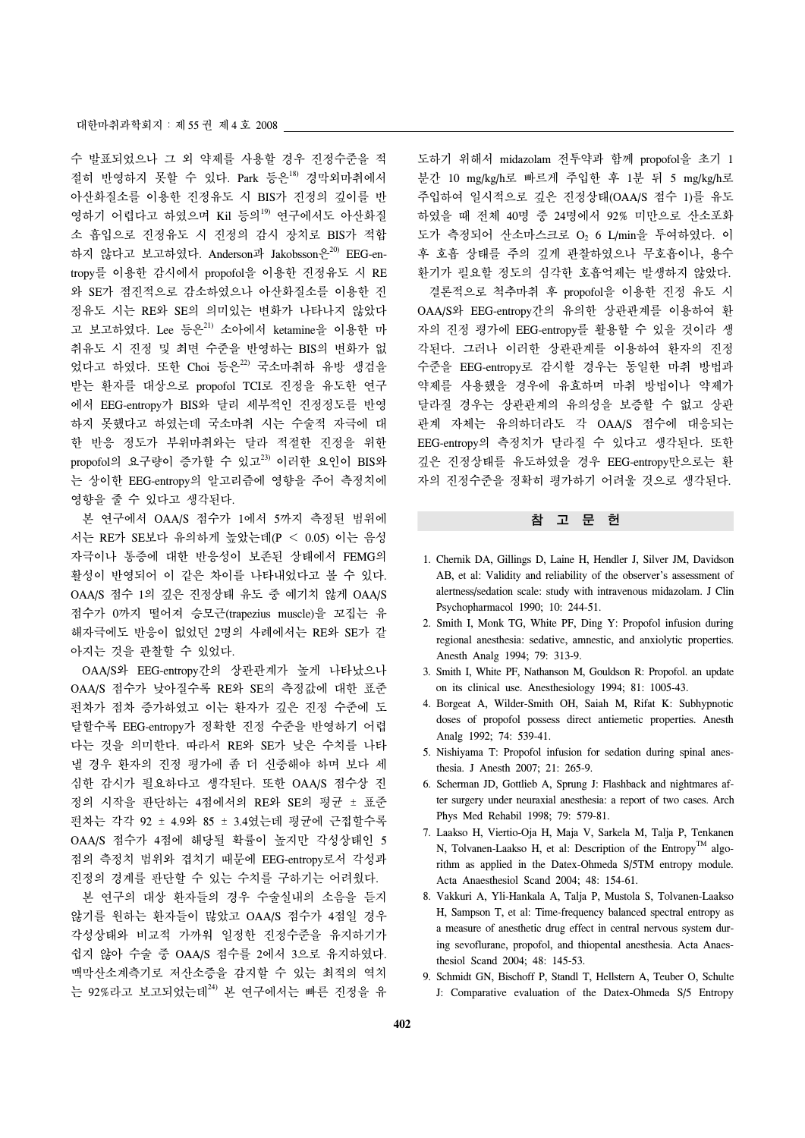수 발표되었으나 그 외 약제를 사용할 경우 진정수준을 적 절히 반영하지 못할 수 있다. Park 등은18) 경막외마취에서 아산화질소를 이용한 진정유도 시 BIS가 진정의 깊이를 반 영하기 어렵다고 하였으며 Kil 등의<sup>19)</sup> 연구에서도 아산화질 소 흡입으로 진정유도 시 진정의 감시 장치로 BIS가 적합 하지 않다고 보고하였다. Anderson과 Jakobsson은<sup>20)</sup> EEG-entropy를 이용한 감시에서 propofol을 이용한 진정유도 시 RE 와 SE가 점진적으로 감소하였으나 아산화질소를 이용한 진 정유도 시는 RE와 SE의 의미있는 변화가 나타나지 않았다 고 보고하였다. Lee 등은 $^{21}$  소아에서 ketamine을 이용한 마 취유도 시 진정 및 최면 수준을 반영하는 BIS의 변화가 없 었다고 하였다. 또한 Choi 등은<sup>22)</sup> 국소마취하 유방 생검을 받는 환자를 대상으로 propofol TCI로 진정을 유도한 연구 에서 EEG-entropy가 BIS와 달리 세부적인 진정정도를 반영 하지 못했다고 하였는데 국소마취 시는 수술적 자극에 대 한 반응 정도가 부위마취와는 달라 적절한 진정을 위한 propofol의 요구량이 증가할 수 있고 $^{23)}$  이러한 요인이 BIS와 는 상이한 EEG-entropy의 알고리즘에 영향을 주어 측정치에 영향을 줄 수 있다고 생각된다.

 본 연구에서 OAA/S 점수가 1에서 5까지 측정된 범위에 서는 RE가 SE보다 유의하게 높았는데(P < 0.05) 이는 음성 자극이나 통증에 대한 반응성이 보존된 상태에서 FEMG의 활성이 반영되어 이 같은 차이를 나타내었다고 볼 수 있다. OAA/S 점수 1의 깊은 진정상태 유도 중 예기치 않게 OAA/S 점수가 0까지 떨어져 승모근(trapezius muscle)을 꼬집는 유 해자극에도 반응이 없었던 2명의 사례에서는 RE와 SE가 같 아지는 것을 관찰할 수 있었다.

 OAA/S와 EEG-entropy간의 상관관계가 높게 나타났으나 OAA/S 점수가 낮아질수록 RE와 SE의 측정값에 대한 표준 편차가 점차 증가하였고 이는 환자가 깊은 진정 수준에 도 달할수록 EEG-entropy가 정확한 진정 수준을 반영하기 어렵 다는 것을 의미한다. 따라서 RE와 SE가 낮은 수치를 나타 낼 경우 환자의 진정 평가에 좀 더 신중해야 하며 보다 세 심한 감시가 필요하다고 생각된다. 또한 OAA/S 점수상 진 정의 시작을 판단하는 4점에서의 RE와 SE의 평균 ± 표준 편차는 각각 92 ± 4.9와 85 ± 3.4였는데 평균에 근접할수록 OAA/S 점수가 4점에 해당될 확률이 높지만 각성상태인 5 점의 측정치 범위와 겹치기 때문에 EEG-entropy로서 각성과 진정의 경계를 판단할 수 있는 수치를 구하기는 어려웠다.

 본 연구의 대상 환자들의 경우 수술실내의 소음을 듣지 않기를 원하는 환자들이 많았고 OAA/S 점수가 4점일 경우 각성상태와 비교적 가까워 일정한 진정수준을 유지하기가 쉽지 않아 수술 중 OAA/S 점수를 2에서 3으로 유지하였다. 맥막산소계측기로 저산소증을 감지할 수 있는 최적의 역치 는 92%라고 보고되었는데24) 본 연구에서는 빠른 진정을 유

도하기 위해서 midazolam 전투약과 함께 propofol을 초기 1 분간 10 mg/kg/h로 빠르게 주입한 후 1분 뒤 5 mg/kg/h로 주입하여 일시적으로 깊은 진정상태(OAA/S 점수 1)를 유도 하였을 때 전체 40명 중 24명에서 92% 미만으로 산소포화 도가 측정되어 산소마스크로 O2 6 L/min을 투여하였다. 이 후 호흡 상태를 주의 깊게 관찰하였으나 무호흡이나, 용수 환기가 필요할 정도의 심각한 호흡억제는 발생하지 않았다. 결론적으로 척추마취 후 propofol을 이용한 진정 유도 시 OAA/S와 EEG-entropy간의 유의한 상관관계를 이용하여 환 자의 진정 평가에 EEG-entropy를 활용할 수 있을 것이라 생 각된다. 그러나 이러한 상관관계를 이용하여 환자의 진정 수준을 EEG-entropy로 감시할 경우는 동일한 마취 방법과 약제를 사용했을 경우에 유효하며 마취 방법이나 약제가 달라질 경우는 상관관계의 유의성을 보증할 수 없고 상관 관계 자체는 유의하더라도 각 OAA/S 점수에 대응되는 EEG-entropy의 측정치가 달라질 수 있다고 생각된다. 또한 깊은 진정상태를 유도하였을 경우 EEG-entropy만으로는 환 자의 진정수준을 정확히 평가하기 어려울 것으로 생각된다.

#### 참 고 문 헌

- 1. Chernik DA, Gillings D, Laine H, Hendler J, Silver JM, Davidson AB, et al: Validity and reliability of the observer's assessment of alertness/sedation scale: study with intravenous midazolam. J Clin Psychopharmacol 1990; 10: 244-51.
- 2. Smith I, Monk TG, White PF, Ding Y: Propofol infusion during regional anesthesia: sedative, amnestic, and anxiolytic properties. Anesth Analg 1994; 79: 313-9.
- 3. Smith I, White PF, Nathanson M, Gouldson R: Propofol. an update on its clinical use. Anesthesiology 1994; 81: 1005-43.
- 4. Borgeat A, Wilder-Smith OH, Saiah M, Rifat K: Subhypnotic doses of propofol possess direct antiemetic properties. Anesth Analg 1992; 74: 539-41.
- 5. Nishiyama T: Propofol infusion for sedation during spinal anesthesia. J Anesth 2007; 21: 265-9.
- 6. Scherman JD, Gottlieb A, Sprung J: Flashback and nightmares after surgery under neuraxial anesthesia: a report of two cases. Arch Phys Med Rehabil 1998; 79: 579-81.
- 7. Laakso H, Viertio-Oja H, Maja V, Sarkela M, Talja P, Tenkanen N, Tolvanen-Laakso H, et al: Description of the Entropy<sup>TM</sup> algorithm as applied in the Datex-Ohmeda S/5TM entropy module. Acta Anaesthesiol Scand 2004; 48: 154-61.
- 8. Vakkuri A, Yli-Hankala A, Talja P, Mustola S, Tolvanen-Laakso H, Sampson T, et al: Time-frequency balanced spectral entropy as a measure of anesthetic drug effect in central nervous system during sevoflurane, propofol, and thiopental anesthesia. Acta Anaesthesiol Scand 2004; 48: 145-53.
- 9. Schmidt GN, Bischoff P, Standl T, Hellstern A, Teuber O, Schulte J: Comparative evaluation of the Datex-Ohmeda S/5 Entropy